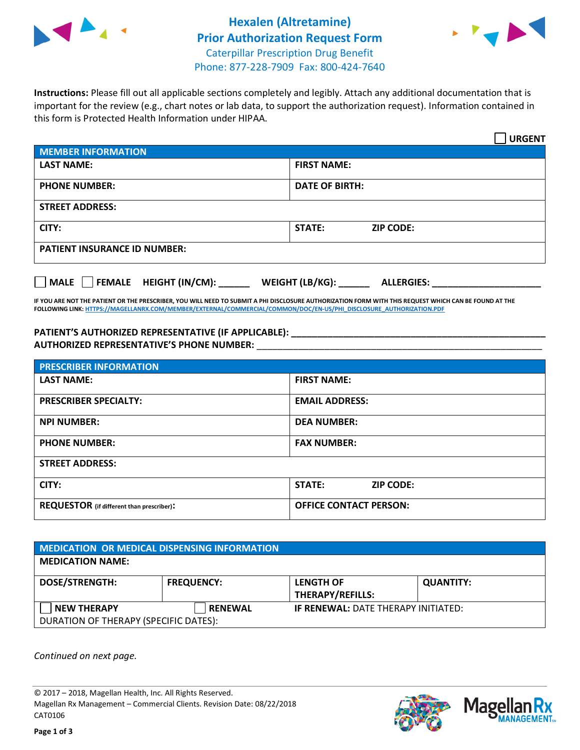



**Instructions:** Please fill out all applicable sections completely and legibly. Attach any additional documentation that is important for the review (e.g., chart notes or lab data, to support the authorization request). Information contained in this form is Protected Health Information under HIPAA.

|                                       | <b>URGENT</b>                        |  |  |  |
|---------------------------------------|--------------------------------------|--|--|--|
| <b>MEMBER INFORMATION</b>             |                                      |  |  |  |
| <b>LAST NAME:</b>                     | <b>FIRST NAME:</b>                   |  |  |  |
| <b>PHONE NUMBER:</b>                  | <b>DATE OF BIRTH:</b>                |  |  |  |
| <b>STREET ADDRESS:</b>                |                                      |  |  |  |
| CITY:                                 | STATE:<br><b>ZIP CODE:</b>           |  |  |  |
| <b>PATIENT INSURANCE ID NUMBER:</b>   |                                      |  |  |  |
| FEMALE HEIGHT (IN/CM):<br><b>MALE</b> | WEIGHT (LB/KG):<br><b>ALLERGIES:</b> |  |  |  |

**IF YOU ARE NOT THE PATIENT OR THE PRESCRIBER, YOU WILL NEED TO SUBMIT A PHI DISCLOSURE AUTHORIZATION FORM WITH THIS REQUEST WHICH CAN BE FOUND AT THE FOLLOWING LINK[: HTTPS://MAGELLANRX.COM/MEMBER/EXTERNAL/COMMERCIAL/COMMON/DOC/EN-US/PHI\\_DISCLOSURE\\_AUTHORIZATION.PDF](https://magellanrx.com/member/external/commercial/common/doc/en-us/PHI_Disclosure_Authorization.pdf)**

**PATIENT'S AUTHORIZED REPRESENTATIVE (IF APPLICABLE): \_\_\_\_\_\_\_\_\_\_\_\_\_\_\_\_\_\_\_\_\_\_\_\_\_\_\_\_\_\_\_\_\_\_\_\_\_\_\_\_\_\_\_\_\_\_\_\_\_ AUTHORIZED REPRESENTATIVE'S PHONE NUMBER:** \_\_\_\_\_\_\_\_\_\_\_\_\_\_\_\_\_\_\_\_\_\_\_\_\_\_\_\_\_\_\_\_\_\_\_\_\_\_\_\_\_\_\_\_\_\_\_\_\_\_\_\_\_\_\_

| <b>PRESCRIBER INFORMATION</b>             |                               |  |  |  |
|-------------------------------------------|-------------------------------|--|--|--|
| <b>LAST NAME:</b>                         | <b>FIRST NAME:</b>            |  |  |  |
| <b>PRESCRIBER SPECIALTY:</b>              | <b>EMAIL ADDRESS:</b>         |  |  |  |
| <b>NPI NUMBER:</b>                        | <b>DEA NUMBER:</b>            |  |  |  |
| <b>PHONE NUMBER:</b>                      | <b>FAX NUMBER:</b>            |  |  |  |
| <b>STREET ADDRESS:</b>                    |                               |  |  |  |
| CITY:                                     | STATE:<br><b>ZIP CODE:</b>    |  |  |  |
| REQUESTOR (if different than prescriber): | <b>OFFICE CONTACT PERSON:</b> |  |  |  |

| <b>MEDICATION OR MEDICAL DISPENSING INFORMATION</b> |                   |                                            |                  |  |  |
|-----------------------------------------------------|-------------------|--------------------------------------------|------------------|--|--|
| <b>MEDICATION NAME:</b>                             |                   |                                            |                  |  |  |
| <b>DOSE/STRENGTH:</b>                               | <b>FREQUENCY:</b> | <b>LENGTH OF</b>                           | <b>QUANTITY:</b> |  |  |
|                                                     |                   | <b>THERAPY/REFILLS:</b>                    |                  |  |  |
| <b>NEW THERAPY</b>                                  | <b>RENEWAL</b>    | <b>IF RENEWAL: DATE THERAPY INITIATED:</b> |                  |  |  |
| DURATION OF THERAPY (SPECIFIC DATES):               |                   |                                            |                  |  |  |

*Continued on next page.*

© 2017 – 2018, Magellan Health, Inc. All Rights Reserved. Magellan Rx Management – Commercial Clients. Revision Date: 08/22/2018 CAT0106



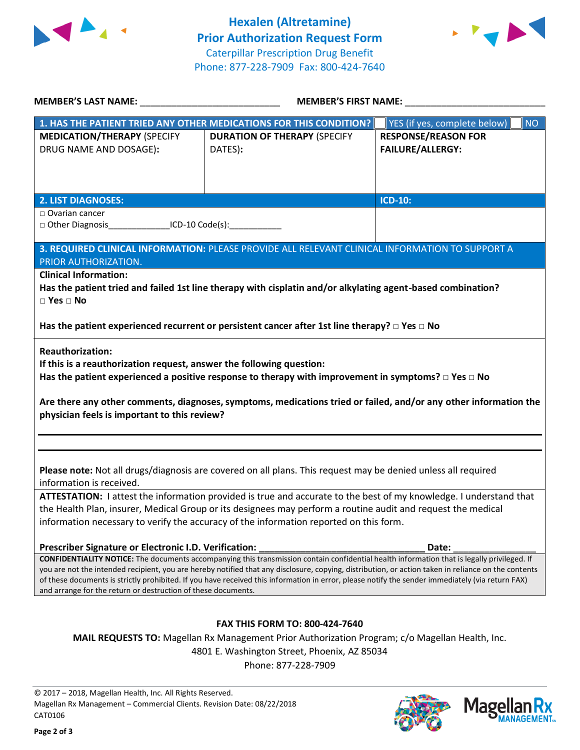



| MEMBER'S LAST NAME: ___________________________________                                                                                                                                                                                                                                                 | <b>MEMBER'S FIRST NAME:</b>                                                                                                                 |                                           |  |  |
|---------------------------------------------------------------------------------------------------------------------------------------------------------------------------------------------------------------------------------------------------------------------------------------------------------|---------------------------------------------------------------------------------------------------------------------------------------------|-------------------------------------------|--|--|
|                                                                                                                                                                                                                                                                                                         | 1. HAS THE PATIENT TRIED ANY OTHER MEDICATIONS FOR THIS CONDITION?                                                                          | YES (if yes, complete below)<br><b>NO</b> |  |  |
| <b>MEDICATION/THERAPY (SPECIFY</b>                                                                                                                                                                                                                                                                      | <b>DURATION OF THERAPY (SPECIFY</b>                                                                                                         | <b>RESPONSE/REASON FOR</b>                |  |  |
| DRUG NAME AND DOSAGE):                                                                                                                                                                                                                                                                                  | DATES):                                                                                                                                     | <b>FAILURE/ALLERGY:</b>                   |  |  |
|                                                                                                                                                                                                                                                                                                         |                                                                                                                                             |                                           |  |  |
|                                                                                                                                                                                                                                                                                                         |                                                                                                                                             |                                           |  |  |
|                                                                                                                                                                                                                                                                                                         |                                                                                                                                             | <b>ICD-10:</b>                            |  |  |
| <b>2. LIST DIAGNOSES:</b><br>$\Box$ Ovarian cancer                                                                                                                                                                                                                                                      |                                                                                                                                             |                                           |  |  |
| □ Other Diagnosis ICD-10 Code(s):                                                                                                                                                                                                                                                                       |                                                                                                                                             |                                           |  |  |
|                                                                                                                                                                                                                                                                                                         |                                                                                                                                             |                                           |  |  |
| PRIOR AUTHORIZATION.                                                                                                                                                                                                                                                                                    | 3. REQUIRED CLINICAL INFORMATION: PLEASE PROVIDE ALL RELEVANT CLINICAL INFORMATION TO SUPPORT A                                             |                                           |  |  |
| <b>Clinical Information:</b>                                                                                                                                                                                                                                                                            |                                                                                                                                             |                                           |  |  |
|                                                                                                                                                                                                                                                                                                         | Has the patient tried and failed 1st line therapy with cisplatin and/or alkylating agent-based combination?                                 |                                           |  |  |
| $\square$ Yes $\square$ No                                                                                                                                                                                                                                                                              |                                                                                                                                             |                                           |  |  |
| Has the patient experienced recurrent or persistent cancer after 1st line therapy? $\Box$ Yes $\Box$ No                                                                                                                                                                                                 |                                                                                                                                             |                                           |  |  |
| <b>Reauthorization:</b>                                                                                                                                                                                                                                                                                 |                                                                                                                                             |                                           |  |  |
| If this is a reauthorization request, answer the following question:                                                                                                                                                                                                                                    |                                                                                                                                             |                                           |  |  |
|                                                                                                                                                                                                                                                                                                         | Has the patient experienced a positive response to therapy with improvement in symptoms? $\Box$ Yes $\Box$ No                               |                                           |  |  |
|                                                                                                                                                                                                                                                                                                         |                                                                                                                                             |                                           |  |  |
|                                                                                                                                                                                                                                                                                                         | Are there any other comments, diagnoses, symptoms, medications tried or failed, and/or any other information the                            |                                           |  |  |
| physician feels is important to this review?                                                                                                                                                                                                                                                            |                                                                                                                                             |                                           |  |  |
|                                                                                                                                                                                                                                                                                                         |                                                                                                                                             |                                           |  |  |
|                                                                                                                                                                                                                                                                                                         |                                                                                                                                             |                                           |  |  |
|                                                                                                                                                                                                                                                                                                         |                                                                                                                                             |                                           |  |  |
|                                                                                                                                                                                                                                                                                                         | Please note: Not all drugs/diagnosis are covered on all plans. This request may be denied unless all required                               |                                           |  |  |
| information is received.                                                                                                                                                                                                                                                                                |                                                                                                                                             |                                           |  |  |
| ATTESTATION: I attest the information provided is true and accurate to the best of my knowledge. I understand that<br>the Health Plan, insurer, Medical Group or its designees may perform a routine audit and request the medical                                                                      |                                                                                                                                             |                                           |  |  |
| information necessary to verify the accuracy of the information reported on this form.                                                                                                                                                                                                                  |                                                                                                                                             |                                           |  |  |
|                                                                                                                                                                                                                                                                                                         |                                                                                                                                             |                                           |  |  |
| Prescriber Signature or Electronic I.D. Verification:                                                                                                                                                                                                                                                   |                                                                                                                                             | Date:                                     |  |  |
|                                                                                                                                                                                                                                                                                                         | CONFIDENTIALITY NOTICE: The documents accompanying this transmission contain confidential health information that is legally privileged. If |                                           |  |  |
| you are not the intended recipient, you are hereby notified that any disclosure, copying, distribution, or action taken in reliance on the contents<br>of these documents is strictly prohibited. If you have received this information in error, please notify the sender immediately (via return FAX) |                                                                                                                                             |                                           |  |  |
| and arrange for the return or destruction of these documents.                                                                                                                                                                                                                                           |                                                                                                                                             |                                           |  |  |
|                                                                                                                                                                                                                                                                                                         |                                                                                                                                             |                                           |  |  |
| <b>FAX THIS FORM TO: 800-424-7640</b>                                                                                                                                                                                                                                                                   |                                                                                                                                             |                                           |  |  |
|                                                                                                                                                                                                                                                                                                         |                                                                                                                                             |                                           |  |  |
| MAIL REQUESTS TO: Magellan Rx Management Prior Authorization Program; c/o Magellan Health, Inc.<br>4801 E. Washington Street, Phoenix, AZ 85034                                                                                                                                                         |                                                                                                                                             |                                           |  |  |
|                                                                                                                                                                                                                                                                                                         | Phone: 877-228-7909                                                                                                                         |                                           |  |  |
|                                                                                                                                                                                                                                                                                                         |                                                                                                                                             |                                           |  |  |

© 2017 – 2018, Magellan Health, Inc. All Rights Reserved. Magellan Rx Management – Commercial Clients. Revision Date: 08/22/2018 CAT0106



**MANAGEMENT**<sub>SM</sub>